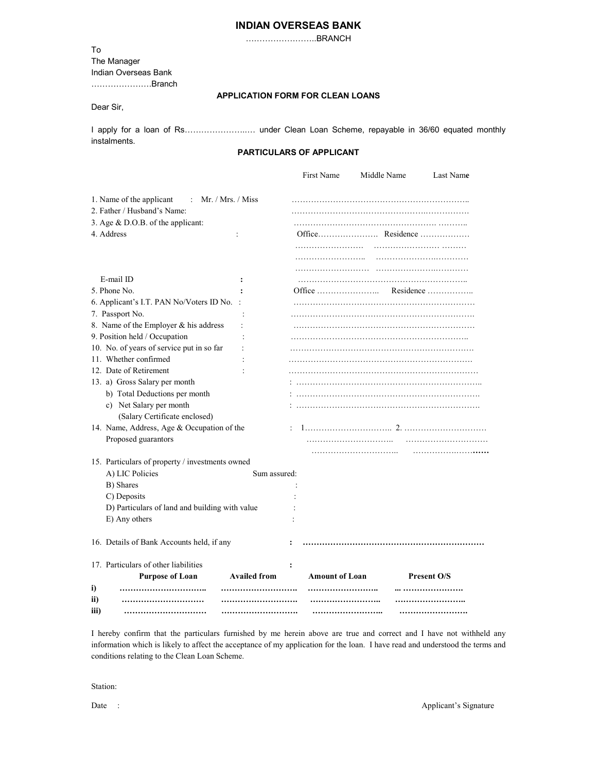## **INDIAN OVERSEAS BANK**

……………………..BRANCH

To The Manager Indian Overseas Bank ………………….Branch

## **APPLICATION FORM FOR CLEAN LOANS**

Dear Sir,

I apply for a loan of Rs…………………..… under Clean Loan Scheme, repayable in 36/60 equated monthly instalments.

## **PARTICULARS OF APPLICANT**

|                                                    |                     | First Name                                   | Middle Name | Last Name          |
|----------------------------------------------------|---------------------|----------------------------------------------|-------------|--------------------|
| 1. Name of the applicant<br>Mr. / Mrs. / Miss<br>÷ |                     |                                              |             |                    |
| 2. Father / Husband's Name:                        |                     |                                              |             |                    |
| 3. Age & D.O.B. of the applicant:                  |                     |                                              |             |                    |
| 4. Address                                         |                     |                                              |             |                    |
|                                                    |                     |                                              |             |                    |
|                                                    |                     |                                              |             |                    |
|                                                    |                     |                                              |             |                    |
| E-mail ID                                          |                     |                                              |             |                    |
| 5. Phone No.                                       |                     | Office $\dots \dots \dots \dots \dots \dots$ |             | Residence          |
| 6. Applicant's I.T. PAN No/Voters ID No.           |                     |                                              |             |                    |
| 7. Passport No.                                    |                     |                                              |             |                    |
| 8. Name of the Employer & his address              |                     |                                              |             |                    |
| 9. Position held / Occupation                      |                     |                                              |             |                    |
| 10. No. of years of service put in so far          |                     |                                              |             |                    |
| 11. Whether confirmed                              |                     |                                              |             |                    |
| 12. Date of Retirement                             |                     |                                              |             |                    |
| 13. a) Gross Salary per month                      |                     |                                              |             |                    |
| b) Total Deductions per month                      |                     |                                              |             |                    |
| c) Net Salary per month                            |                     |                                              |             |                    |
| (Salary Certificate enclosed)                      |                     |                                              |             |                    |
| 14. Name, Address, Age & Occupation of the         |                     |                                              |             |                    |
| Proposed guarantors                                |                     |                                              |             |                    |
|                                                    |                     |                                              |             |                    |
| 15. Particulars of property / investments owned    |                     |                                              |             |                    |
| A) LIC Policies                                    | Sum assured:        |                                              |             |                    |
| B) Shares                                          |                     |                                              |             |                    |
| C) Deposits                                        |                     |                                              |             |                    |
| D) Particulars of land and building with value     |                     |                                              |             |                    |
| E) Any others                                      |                     |                                              |             |                    |
| 16. Details of Bank Accounts held, if any          |                     |                                              |             |                    |
| 17. Particulars of other liabilities               |                     | $\ddot{\phantom{a}}$                         |             |                    |
| <b>Purpose of Loan</b>                             | <b>Availed from</b> | <b>Amount of Loan</b>                        |             | <b>Present O/S</b> |
| <br>i)                                             |                     |                                              |             |                    |
| ii)<br>                                            |                     |                                              |             | .                  |
| iii)<br>                                           |                     |                                              |             |                    |

I hereby confirm that the particulars furnished by me herein above are true and correct and I have not withheld any information which is likely to affect the acceptance of my application for the loan. I have read and understood the terms and conditions relating to the Clean Loan Scheme.

Station:

Date : Applicant's Signature  $\Box$